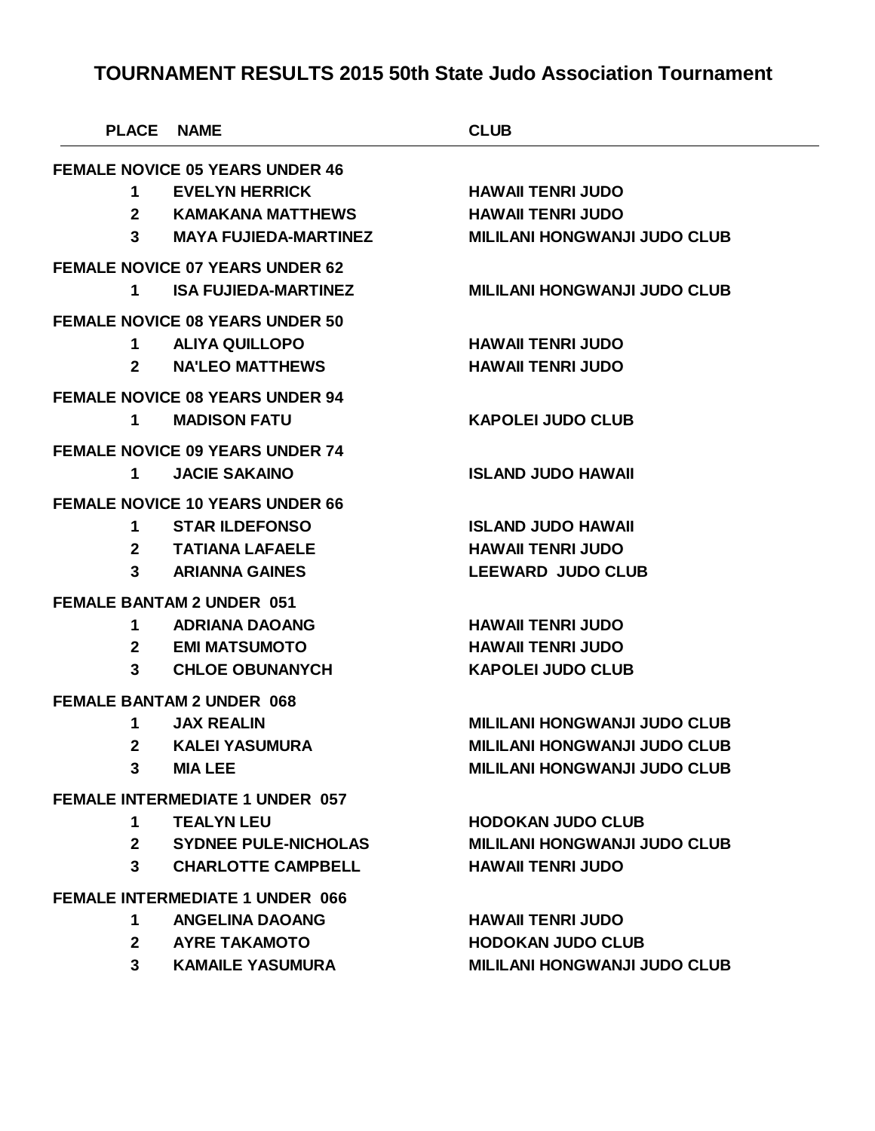|                                        | <b>PLACE NAME</b>                      | <b>CLUB</b>                         |
|----------------------------------------|----------------------------------------|-------------------------------------|
|                                        | <b>FEMALE NOVICE 05 YEARS UNDER 46</b> |                                     |
| 1                                      | <b>EVELYN HERRICK</b>                  | <b>HAWAII TENRI JUDO</b>            |
| $\mathbf{2}$                           | KAMAKANA MATTHEWS                      | <b>HAWAII TENRI JUDO</b>            |
| 3 <sup>1</sup>                         | <b>MAYA FUJIEDA-MARTINEZ</b>           | <b>MILILANI HONGWANJI JUDO CLUB</b> |
|                                        | <b>FEMALE NOVICE 07 YEARS UNDER 62</b> |                                     |
| 1                                      | <b>ISA FUJIEDA-MARTINEZ</b>            | <b>MILILANI HONGWANJI JUDO CLUB</b> |
|                                        | <b>FEMALE NOVICE 08 YEARS UNDER 50</b> |                                     |
| $\mathbf 1$                            | <b>ALIYA QUILLOPO</b>                  | <b>HAWAII TENRI JUDO</b>            |
| $\mathbf{2}$                           | <b>NA'LEO MATTHEWS</b>                 | <b>HAWAII TENRI JUDO</b>            |
|                                        | <b>FEMALE NOVICE 08 YEARS UNDER 94</b> |                                     |
| 1                                      | <b>MADISON FATU</b>                    | <b>KAPOLEI JUDO CLUB</b>            |
|                                        | <b>FEMALE NOVICE 09 YEARS UNDER 74</b> |                                     |
| 1                                      | <b>JACIE SAKAINO</b>                   | <b>ISLAND JUDO HAWAII</b>           |
|                                        | <b>FEMALE NOVICE 10 YEARS UNDER 66</b> |                                     |
| 1                                      | <b>STAR ILDEFONSO</b>                  | <b>ISLAND JUDO HAWAII</b>           |
| $\mathbf{2}$                           | TATIANA LAFAELE                        | <b>HAWAII TENRI JUDO</b>            |
| 3                                      | <b>ARIANNA GAINES</b>                  | <b>LEEWARD JUDO CLUB</b>            |
|                                        | <b>FEMALE BANTAM 2 UNDER 051</b>       |                                     |
| 1                                      | <b>ADRIANA DAOANG</b>                  | <b>HAWAII TENRI JUDO</b>            |
|                                        | 2 EMI MATSUMOTO                        | <b>HAWAII TENRI JUDO</b>            |
| 3                                      | <b>CHLOE OBUNANYCH</b>                 | <b>KAPOLEI JUDO CLUB</b>            |
|                                        | <b>FEMALE BANTAM 2 UNDER 068</b>       |                                     |
| 1                                      | <b>JAX REALIN</b>                      | <b>MILILANI HONGWANJI JUDO CLUB</b> |
| $\mathbf{2}$                           | <b>KALEI YASUMURA</b>                  | <b>MILILANI HONGWANJI JUDO CLUB</b> |
| $\mathbf{3}$                           | <b>MIA LEE</b>                         | <b>MILILANI HONGWANJI JUDO CLUB</b> |
| <b>FEMALE INTERMEDIATE 1 UNDER 057</b> |                                        |                                     |
| 1                                      | <b>TEALYN LEU</b>                      | <b>HODOKAN JUDO CLUB</b>            |
| $2^{\circ}$                            | <b>SYDNEE PULE-NICHOLAS</b>            | <b>MILILANI HONGWANJI JUDO CLUB</b> |
| $\mathbf{3}$                           | <b>CHARLOTTE CAMPBELL</b>              | <b>HAWAII TENRI JUDO</b>            |
| <b>FEMALE INTERMEDIATE 1 UNDER 066</b> |                                        |                                     |
| 1                                      | <b>ANGELINA DAOANG</b>                 | <b>HAWAII TENRI JUDO</b>            |
| $\mathbf{2}$                           | <b>AYRE TAKAMOTO</b>                   | <b>HODOKAN JUDO CLUB</b>            |
| 3 <sup>1</sup>                         | <b>KAMAILE YASUMURA</b>                | <b>MILILANI HONGWANJI JUDO CLUB</b> |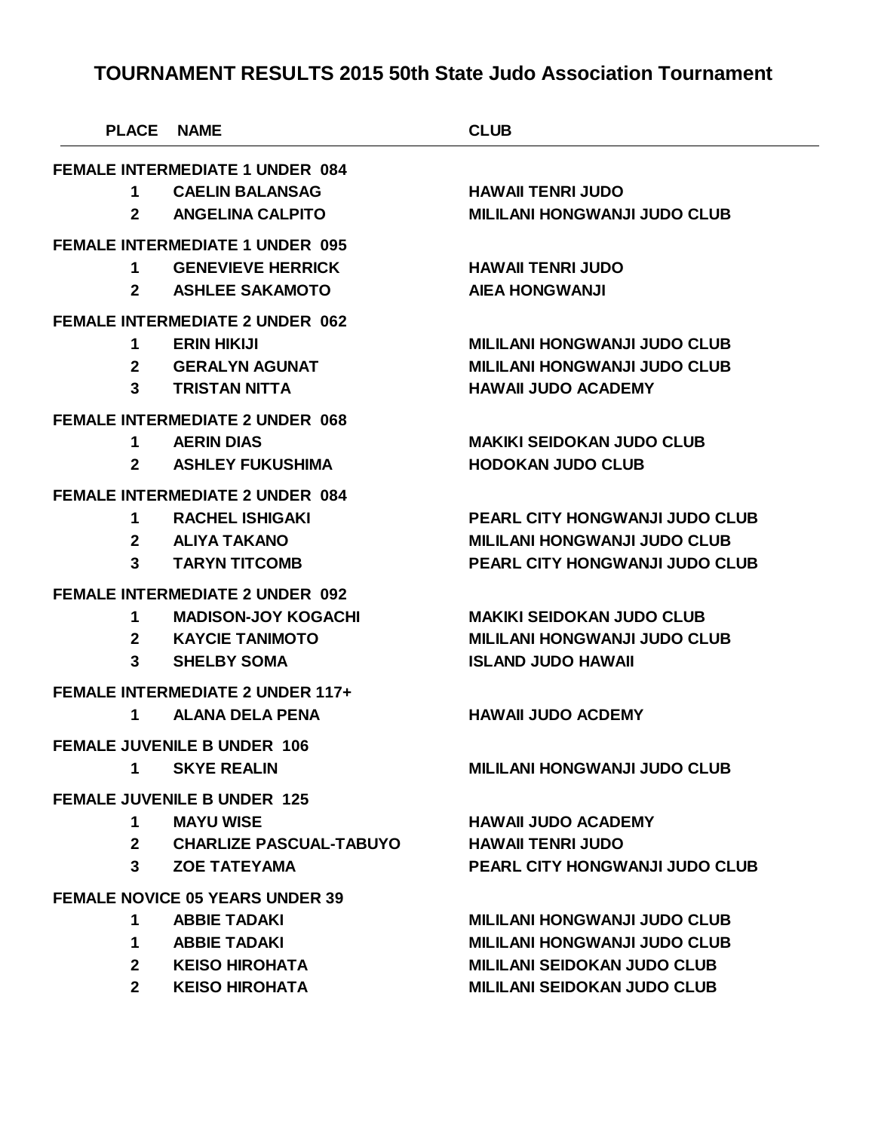| <b>PLACE NAME</b> |                                                          | <b>CLUB</b>                           |
|-------------------|----------------------------------------------------------|---------------------------------------|
|                   | <b>FEMALE INTERMEDIATE 1 UNDER 084</b>                   |                                       |
| 1                 | <b>CAELIN BALANSAG</b>                                   | <b>HAWAII TENRI JUDO</b>              |
| $\mathbf{2}$      | <b>ANGELINA CALPITO</b>                                  | <b>MILILANI HONGWANJI JUDO CLUB</b>   |
|                   | <b>FEMALE INTERMEDIATE 1 UNDER 095</b>                   |                                       |
| 1                 | <b>GENEVIEVE HERRICK</b>                                 | <b>HAWAII TENRI JUDO</b>              |
| $\mathbf{2}$      | <b>ASHLEE SAKAMOTO</b>                                   | <b>AIEA HONGWANJI</b>                 |
|                   | <b>FEMALE INTERMEDIATE 2 UNDER 062</b>                   |                                       |
| 1                 | <b>ERIN HIKIJI</b>                                       | <b>MILILANI HONGWANJI JUDO CLUB</b>   |
| $\mathbf{2}$      | <b>GERALYN AGUNAT</b>                                    | <b>MILILANI HONGWANJI JUDO CLUB</b>   |
| 3                 | <b>TRISTAN NITTA</b>                                     | <b>HAWAII JUDO ACADEMY</b>            |
|                   | <b>FEMALE INTERMEDIATE 2 UNDER 068</b>                   |                                       |
| 1                 | <b>AERIN DIAS</b>                                        | <b>MAKIKI SEIDOKAN JUDO CLUB</b>      |
| 2                 | <b>ASHLEY FUKUSHIMA</b>                                  | <b>HODOKAN JUDO CLUB</b>              |
|                   | <b>FEMALE INTERMEDIATE 2 UNDER 084</b>                   |                                       |
| 1                 | <b>RACHEL ISHIGAKI</b>                                   | <b>PEARL CITY HONGWANJI JUDO CLUB</b> |
| $\mathbf{2}$      | ALIYA TAKANO                                             | <b>MILILANI HONGWANJI JUDO CLUB</b>   |
| 3                 | <b>TARYN TITCOMB</b>                                     | PEARL CITY HONGWANJI JUDO CLUB        |
|                   | <b>FEMALE INTERMEDIATE 2 UNDER 092</b>                   |                                       |
| 1                 | <b>MADISON-JOY KOGACHI</b>                               | <b>MAKIKI SEIDOKAN JUDO CLUB</b>      |
| $\mathbf{2}$      | <b>KAYCIE TANIMOTO</b>                                   | <b>MILILANI HONGWANJI JUDO CLUB</b>   |
| 3                 | <b>SHELBY SOMA</b>                                       | <b>ISLAND JUDO HAWAII</b>             |
|                   | <b>FEMALE INTERMEDIATE 2 UNDER 117+</b>                  |                                       |
| 1                 | <b>ALANA DELA PENA</b>                                   | <b>HAWAII JUDO ACDEMY</b>             |
|                   |                                                          |                                       |
|                   | <b>FEMALE JUVENILE B UNDER 106</b><br><b>SKYE REALIN</b> |                                       |
| 1                 |                                                          | <b>MILILANI HONGWANJI JUDO CLUB</b>   |
|                   | <b>FEMALE JUVENILE B UNDER 125</b>                       |                                       |
| $\mathbf 1$       | <b>MAYU WISE</b>                                         | <b>HAWAII JUDO ACADEMY</b>            |
|                   | 2 CHARLIZE PASCUAL-TABUYO                                | <b>HAWAII TENRI JUDO</b>              |
| 3 <sup>7</sup>    | <b>ZOE TATEYAMA</b>                                      | PEARL CITY HONGWANJI JUDO CLUB        |
|                   | <b>FEMALE NOVICE 05 YEARS UNDER 39</b>                   |                                       |
| 1                 | <b>ABBIE TADAKI</b>                                      | <b>MILILANI HONGWANJI JUDO CLUB</b>   |
| $\mathbf 1$       | <b>ABBIE TADAKI</b>                                      | <b>MILILANI HONGWANJI JUDO CLUB</b>   |
|                   | 2 KEISO HIROHATA                                         | <b>MILILANI SEIDOKAN JUDO CLUB</b>    |
| 2 <sup>1</sup>    | <b>KEISO HIROHATA</b>                                    | <b>MILILANI SEIDOKAN JUDO CLUB</b>    |
|                   |                                                          |                                       |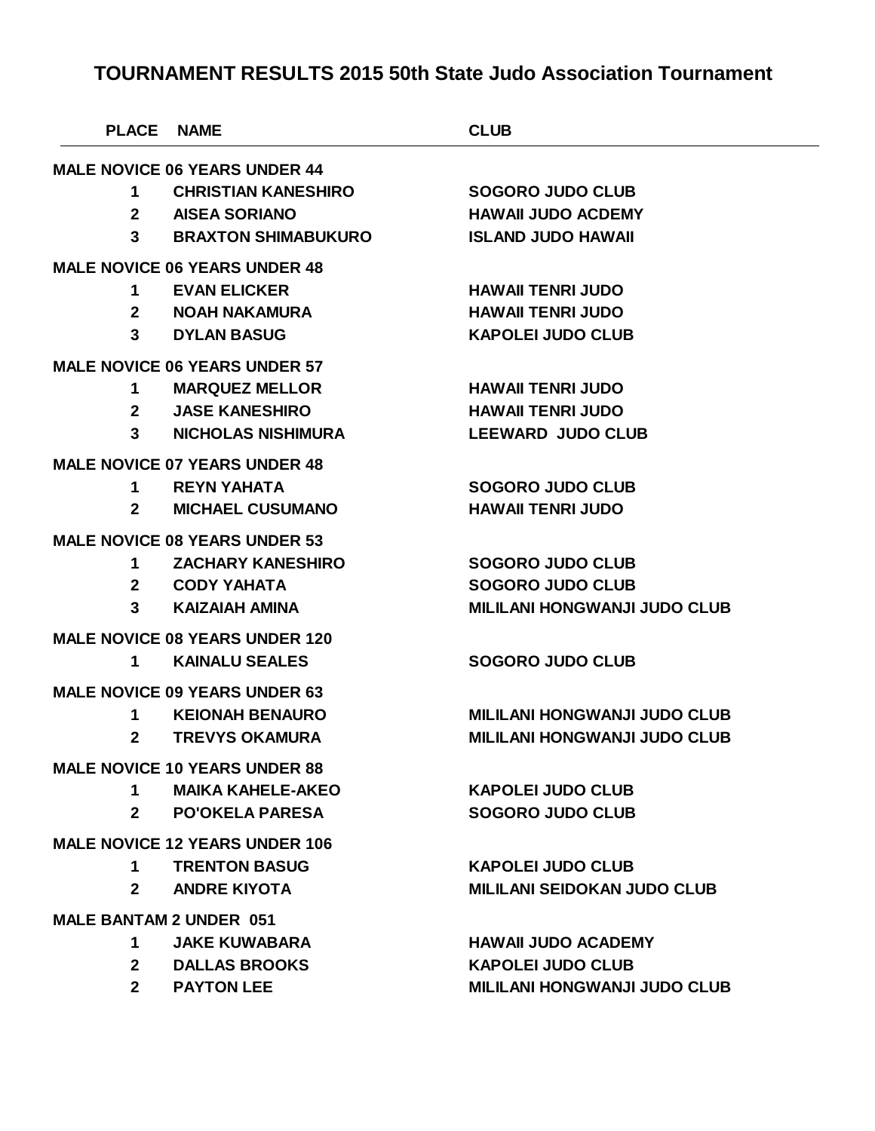| <b>PLACE</b>                          | <b>NAME</b>                           | <b>CLUB</b>                         |  |
|---------------------------------------|---------------------------------------|-------------------------------------|--|
|                                       | <b>MALE NOVICE 06 YEARS UNDER 44</b>  |                                     |  |
| 1                                     | <b>CHRISTIAN KANESHIRO</b>            | <b>SOGORO JUDO CLUB</b>             |  |
| $2^{\circ}$                           | <b>AISEA SORIANO</b>                  | <b>HAWAII JUDO ACDEMY</b>           |  |
| 3 <sup>1</sup>                        | <b>BRAXTON SHIMABUKURO</b>            | <b>ISLAND JUDO HAWAII</b>           |  |
|                                       | <b>MALE NOVICE 06 YEARS UNDER 48</b>  |                                     |  |
| 1                                     | <b>EVAN ELICKER</b>                   | <b>HAWAII TENRI JUDO</b>            |  |
| $\mathbf{2}$                          | NOAH NAKAMURA                         | <b>HAWAII TENRI JUDO</b>            |  |
| $3^{\circ}$                           | <b>DYLAN BASUG</b>                    | <b>KAPOLEI JUDO CLUB</b>            |  |
|                                       | <b>MALE NOVICE 06 YEARS UNDER 57</b>  |                                     |  |
| 1.                                    | <b>MARQUEZ MELLOR</b>                 | <b>HAWAII TENRI JUDO</b>            |  |
| $\mathbf{2}$                          | <b>JASE KANESHIRO</b>                 | <b>HAWAII TENRI JUDO</b>            |  |
| $3\phantom{a}$                        | <b>NICHOLAS NISHIMURA</b>             | <b>LEEWARD JUDO CLUB</b>            |  |
|                                       | <b>MALE NOVICE 07 YEARS UNDER 48</b>  |                                     |  |
| 1                                     | <b>REYN YAHATA</b>                    | <b>SOGORO JUDO CLUB</b>             |  |
| $\mathbf{2}$                          | <b>MICHAEL CUSUMANO</b>               | <b>HAWAII TENRI JUDO</b>            |  |
|                                       | <b>MALE NOVICE 08 YEARS UNDER 53</b>  |                                     |  |
| 1                                     | <b>ZACHARY KANESHIRO</b>              | <b>SOGORO JUDO CLUB</b>             |  |
| $\mathbf{2}$                          | <b>CODY YAHATA</b>                    | <b>SOGORO JUDO CLUB</b>             |  |
| 3 <sup>1</sup>                        | <b>KAIZAIAH AMINA</b>                 | <b>MILILANI HONGWANJI JUDO CLUB</b> |  |
|                                       | <b>MALE NOVICE 08 YEARS UNDER 120</b> |                                     |  |
| 1                                     | <b>KAINALU SEALES</b>                 | <b>SOGORO JUDO CLUB</b>             |  |
|                                       | <b>MALE NOVICE 09 YEARS UNDER 63</b>  |                                     |  |
| 1                                     | <b>KEIONAH BENAURO</b>                | <b>MILILANI HONGWANJI JUDO CLUB</b> |  |
| $\mathbf{2}$                          | <b>TREVYS OKAMURA</b>                 | <b>MILILANI HONGWANJI JUDO CLUB</b> |  |
|                                       | <b>MALE NOVICE 10 YEARS UNDER 88</b>  |                                     |  |
| $\mathbf 1$                           | <b>MAIKA KAHELE-AKEO</b>              | <b>KAPOLEI JUDO CLUB</b>            |  |
|                                       | 2 PO'OKELA PARESA                     | <b>SOGORO JUDO CLUB</b>             |  |
| <b>MALE NOVICE 12 YEARS UNDER 106</b> |                                       |                                     |  |
| 1.                                    | <b>TRENTON BASUG</b>                  | <b>KAPOLEI JUDO CLUB</b>            |  |
| $\mathbf{2}$                          | <b>ANDRE KIYOTA</b>                   | <b>MILILANI SEIDOKAN JUDO CLUB</b>  |  |
| <b>MALE BANTAM 2 UNDER 051</b>        |                                       |                                     |  |
| $\mathbf 1$                           | <b>JAKE KUWABARA</b>                  | <b>HAWAII JUDO ACADEMY</b>          |  |
|                                       | 2 DALLAS BROOKS                       | <b>KAPOLEI JUDO CLUB</b>            |  |
| $2^{\sim}$                            | <b>PAYTON LEE</b>                     | <b>MILILANI HONGWANJI JUDO CLUB</b> |  |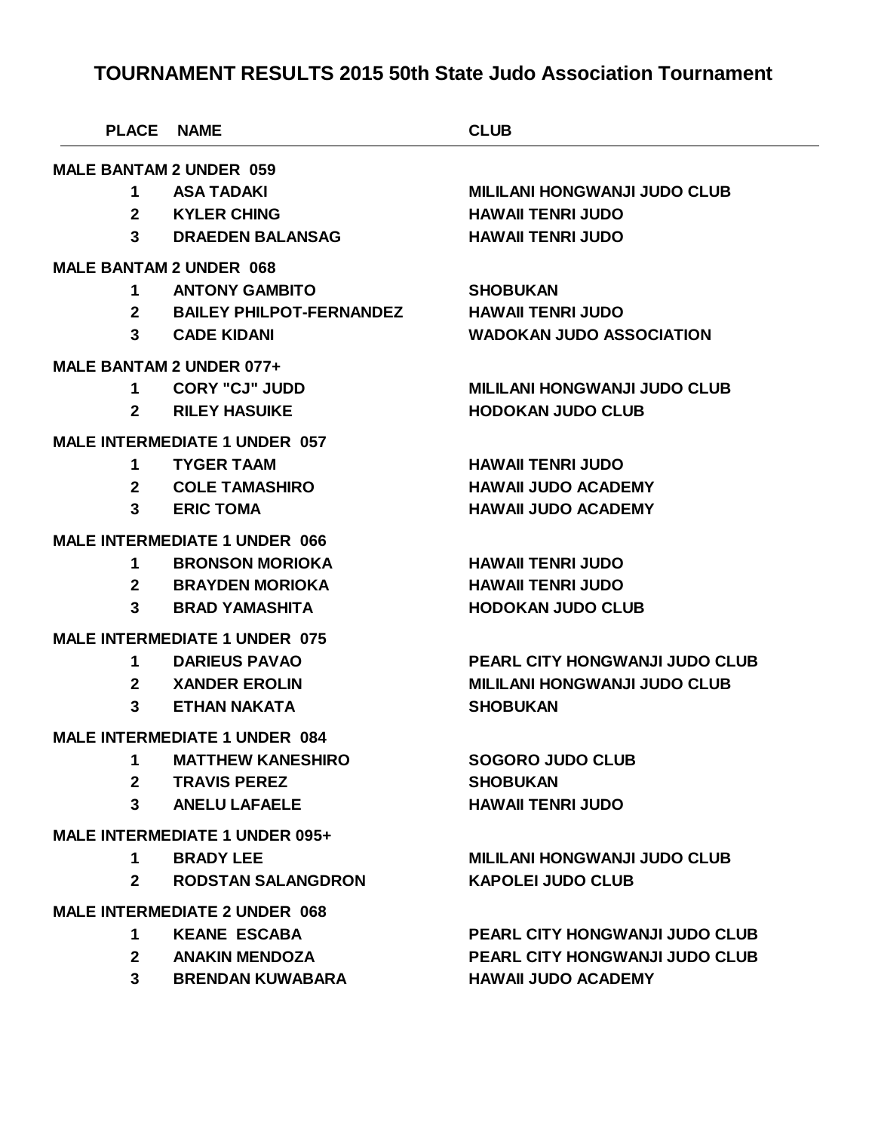|                                       | <b>PLACE</b>                   | <b>NAME</b>                          | <b>CLUB</b>                           |
|---------------------------------------|--------------------------------|--------------------------------------|---------------------------------------|
|                                       | <b>MALE BANTAM 2 UNDER 059</b> |                                      |                                       |
|                                       | 1                              | <b>ASA TADAKI</b>                    | <b>MILILANI HONGWANJI JUDO CLUB</b>   |
|                                       | $\overline{2}$                 | <b>KYLER CHING</b>                   | <b>HAWAII TENRI JUDO</b>              |
|                                       | 3                              | <b>DRAEDEN BALANSAG</b>              | <b>HAWAII TENRI JUDO</b>              |
|                                       |                                | <b>MALE BANTAM 2 UNDER 068</b>       |                                       |
|                                       | 1                              | <b>ANTONY GAMBITO</b>                | <b>SHOBUKAN</b>                       |
|                                       | $\mathbf{2}$                   | <b>BAILEY PHILPOT-FERNANDEZ</b>      | <b>HAWAII TENRI JUDO</b>              |
|                                       | $\mathbf{3}$                   | <b>CADE KIDANI</b>                   | <b>WADOKAN JUDO ASSOCIATION</b>       |
|                                       |                                | MALE BANTAM 2 UNDER 077+             |                                       |
|                                       | 1                              | <b>CORY "CJ" JUDD</b>                | <b>MILILANI HONGWANJI JUDO CLUB</b>   |
|                                       | $\mathbf{2}$                   | <b>RILEY HASUIKE</b>                 | <b>HODOKAN JUDO CLUB</b>              |
|                                       |                                | <b>MALE INTERMEDIATE 1 UNDER 057</b> |                                       |
|                                       | 1                              | <b>TYGER TAAM</b>                    | <b>HAWAII TENRI JUDO</b>              |
|                                       | $\mathbf{2}$                   | <b>COLE TAMASHIRO</b>                | <b>HAWAII JUDO ACADEMY</b>            |
|                                       | 3                              | <b>ERIC TOMA</b>                     | <b>HAWAII JUDO ACADEMY</b>            |
|                                       |                                | <b>MALE INTERMEDIATE 1 UNDER 066</b> |                                       |
|                                       | 1                              | <b>BRONSON MORIOKA</b>               | <b>HAWAII TENRI JUDO</b>              |
|                                       | $\mathbf{2}$                   | <b>BRAYDEN MORIOKA</b>               | <b>HAWAII TENRI JUDO</b>              |
|                                       | 3                              | <b>BRAD YAMASHITA</b>                | <b>HODOKAN JUDO CLUB</b>              |
|                                       |                                | <b>MALE INTERMEDIATE 1 UNDER 075</b> |                                       |
|                                       | 1                              | <b>DARIEUS PAVAO</b>                 | <b>PEARL CITY HONGWANJI JUDO CLUB</b> |
|                                       | $\mathbf{2}$                   | <b>XANDER EROLIN</b>                 | <b>MILILANI HONGWANJI JUDO CLUB</b>   |
|                                       | 3                              | <b>ETHAN NAKATA</b>                  | <b>SHOBUKAN</b>                       |
|                                       |                                | <b>MALE INTERMEDIATE 1 UNDER 084</b> |                                       |
|                                       | $\mathbf 1$                    | <b>MATTHEW KANESHIRO</b>             | <b>SOGORO JUDO CLUB</b>               |
|                                       |                                | 2 TRAVIS PEREZ                       | <b>SHOBUKAN</b>                       |
|                                       |                                | 3 ANELU LAFAELE                      | <b>HAWAII TENRI JUDO</b>              |
| <b>MALE INTERMEDIATE 1 UNDER 095+</b> |                                |                                      |                                       |
|                                       | $1 \quad$                      | <b>BRADY LEE</b>                     | <b>MILILANI HONGWANJI JUDO CLUB</b>   |
|                                       | $2^{\sim}$                     | <b>RODSTAN SALANGDRON</b>            | <b>KAPOLEI JUDO CLUB</b>              |
| <b>MALE INTERMEDIATE 2 UNDER 068</b>  |                                |                                      |                                       |
|                                       | $\mathbf 1$                    | <b>KEANE ESCABA</b>                  | <b>PEARL CITY HONGWANJI JUDO CLUB</b> |
|                                       | $2^{\circ}$                    | <b>ANAKIN MENDOZA</b>                | <b>PEARL CITY HONGWANJI JUDO CLUB</b> |
|                                       | $3^{\circ}$                    | <b>BRENDAN KUWABARA</b>              | <b>HAWAII JUDO ACADEMY</b>            |
|                                       |                                |                                      |                                       |
|                                       |                                |                                      |                                       |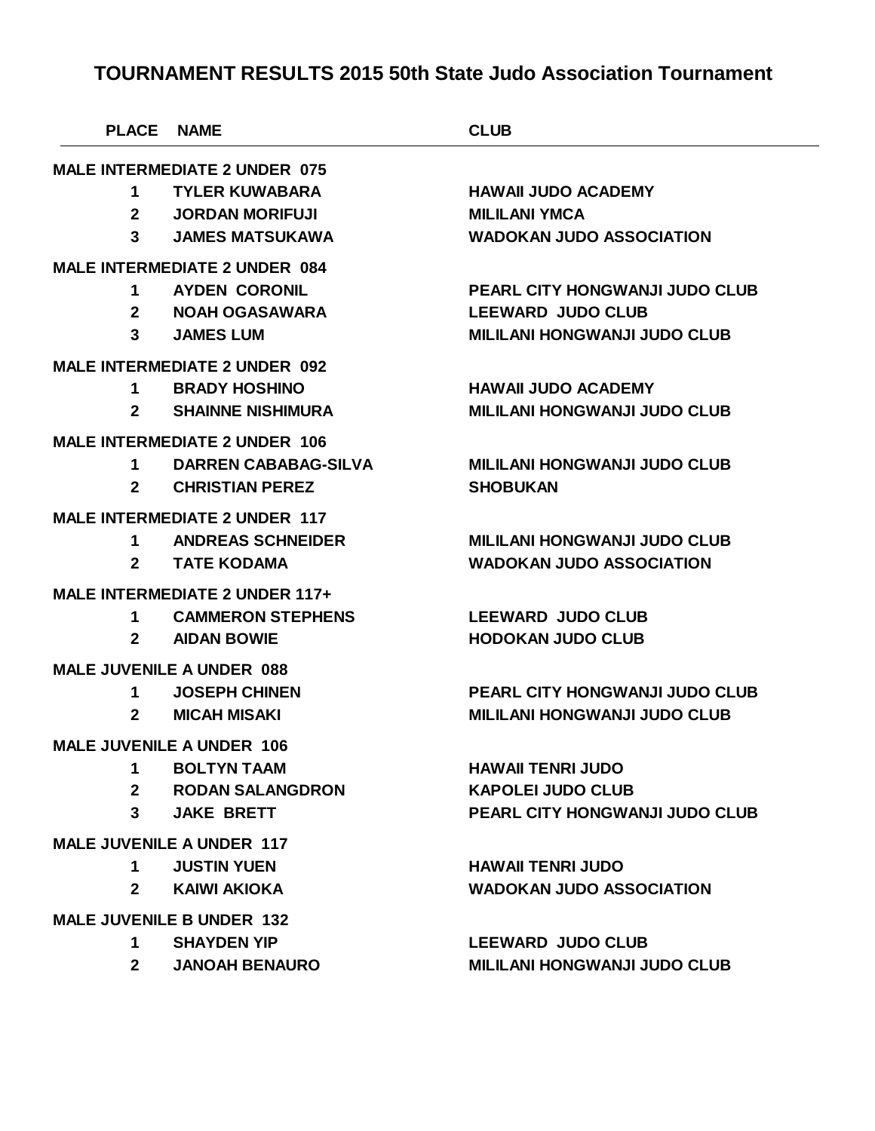| <b>PLACE</b>   | <b>NAME</b>                           | <b>CLUB</b>                           |
|----------------|---------------------------------------|---------------------------------------|
|                | <b>MALE INTERMEDIATE 2 UNDER 075</b>  |                                       |
| 1              | <b>TYLER KUWABARA</b>                 | <b>HAWAII JUDO ACADEMY</b>            |
| 2 <sup>1</sup> | <b>JORDAN MORIFUJI</b>                | <b>MILILANI YMCA</b>                  |
| 3              | <b>JAMES MATSUKAWA</b>                | <b>WADOKAN JUDO ASSOCIATION</b>       |
|                | <b>MALE INTERMEDIATE 2 UNDER 084</b>  |                                       |
| 1              | <b>AYDEN CORONIL</b>                  | PEARL CITY HONGWANJI JUDO CLUB        |
| $\mathbf{2}$   | <b>NOAH OGASAWARA</b>                 | <b>LEEWARD JUDO CLUB</b>              |
| 3              | <b>JAMES LUM</b>                      | <b>MILILANI HONGWANJI JUDO CLUB</b>   |
|                | <b>MALE INTERMEDIATE 2 UNDER 092</b>  |                                       |
| 1              | <b>BRADY HOSHINO</b>                  | <b>HAWAII JUDO ACADEMY</b>            |
| $\mathbf{2}$   | <b>SHAINNE NISHIMURA</b>              | <b>MILILANI HONGWANJI JUDO CLUB</b>   |
|                | <b>MALE INTERMEDIATE 2 UNDER 106</b>  |                                       |
| 1              | <b>DARREN CABABAG-SILVA</b>           | <b>MILILANI HONGWANJI JUDO CLUB</b>   |
| $\mathbf{2}$   | <b>CHRISTIAN PEREZ</b>                | <b>SHOBUKAN</b>                       |
|                | <b>MALE INTERMEDIATE 2 UNDER 117</b>  |                                       |
| 1              | <b>ANDREAS SCHNEIDER</b>              | <b>MILILANI HONGWANJI JUDO CLUB</b>   |
| $\mathbf{2}$   | <b>TATE KODAMA</b>                    | <b>WADOKAN JUDO ASSOCIATION</b>       |
|                | <b>MALE INTERMEDIATE 2 UNDER 117+</b> |                                       |
| 1              | <b>CAMMERON STEPHENS</b>              | <b>LEEWARD JUDO CLUB</b>              |
| $\mathbf{2}$   | <b>AIDAN BOWIE</b>                    | <b>HODOKAN JUDO CLUB</b>              |
|                | <b>MALE JUVENILE A UNDER 088</b>      |                                       |
| 1              | <b>JOSEPH CHINEN</b>                  | <b>PEARL CITY HONGWANJI JUDO CLUB</b> |
| $\mathbf{2}$   | <b>MICAH MISAKI</b>                   | <b>MILILANI HONGWANJI JUDO CLUB</b>   |
|                | <b>MALE JUVENILE A UNDER 106</b>      |                                       |
| 1.             | <b>BOLTYN TAAM</b>                    | <b>HAWAII TENRI JUDO</b>              |
|                | 2 RODAN SALANGDRON                    | <b>KAPOLEI JUDO CLUB</b>              |
|                | 3 JAKE BRETT                          | <b>PEARL CITY HONGWANJI JUDO CLUB</b> |
|                | <b>MALE JUVENILE A UNDER 117</b>      |                                       |
| 1              | <b>JUSTIN YUEN</b>                    | <b>HAWAII TENRI JUDO</b>              |
|                | 2 KAIWI AKIOKA                        | <b>WADOKAN JUDO ASSOCIATION</b>       |
|                | <b>MALE JUVENILE B UNDER 132</b>      |                                       |
|                | 1 SHAYDEN YIP                         | <b>LEEWARD JUDO CLUB</b>              |
| $2^{\circ}$    | <b>JANOAH BENAURO</b>                 | <b>MILILANI HONGWANJI JUDO CLUB</b>   |
|                |                                       |                                       |